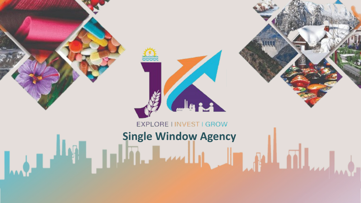

### EXPLORE I INVEST I GROW

# **Single Window Agency**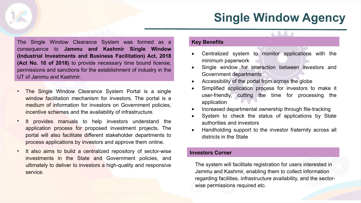# **Single Window Agency**

**AM** 

The Single Window Clearance System was formed as a consequence to **Jammu and Kashmir Single Window (Industrial Investments and Business Facilitation) Act, 2018 (Act No. 10 of 2018)** to provide necessary time bound license, permissions and sanctions for the establishment of industry in the UT of Jammu and Kashmir.

- The Single Window Clearance System Portal is a single window facilitation mechanism for investors. The portal is a medium of information for investors on Government policies, incentive schemes and the availability of infrastructure.
- It provides manuals to help investors understand the application process for proposed investment projects. The portal will also facilitate different stakeholder departments to process applications by investors and approve them online.
- It also aims to build a centralized repository of sector-wise investments in the State and Government policies, and ultimately to deliver to investors a high-quality and responsive service.

### **Key Benefits**

- Centralized system to monitor applications with the minimum paperwork
- Single window for interaction between investors and Government departments
- Accessibility of the portal from across the globe
- Simplified application process for investors to make it user-friendly, cutting the time for processing the application
- Increased departmental ownership through file-tracking
- System to check the status of applications by State authorities and investors
- Handholding support to the investor fraternity across all districts in the State

### **Investors Corner**

The system will facilitate registration for users interested in Jammu and Kashmir, enabling them to collect information regarding facilities, infrastructure availability, and the sectorwise permissions required etc.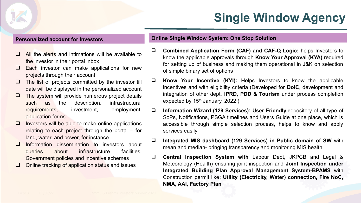# **Single Window Agency**

- $\Box$  All the alerts and intimations will be available to the investor in their portal inbox
- $\Box$  Each investor can make applications for new projects through their account
- $\Box$  The list of projects committed by the investor till date will be displayed in the personalized account
- $\Box$  The system will provide numerous project details such as the description, infrastructural requirements, investment, employment, application forms
- $\Box$  Investors will be able to make online applications relating to each project through the portal – for land, water, and power, for instance
- Information dissemination to investors about queries about infrastructure facilities, Government policies and incentive schemes
- $\Box$  Online tracking of application status and issues

### **Personalized account for Investors Online Single Window System: One Stop Solution**

- **Combined Application Form (CAF) and CAF-Q Logic:** helps Investors to know the applicable approvals through **Know Your Approval (KYA)** required for setting up of business and making them operational in J&K on selection of simple binary set of options
- **Know Your Incentive (KYI): H**elps Investors to know the applicable incentives and with eligibility criteria (Developed for **DoIC**, development and integration of other dept. **IPRD, PDD & Tourism** under process completion expected by  $15<sup>th</sup>$  January, 2022)
- **Information Wizard (129 Services): User Friendly r**epository of all type of SoPs, Notifications, PSGA timelines and Users Guide at one place, which is accessible through simple selection process, helps to know and apply services easily
- **Integrated MIS dashboard (129 Services) in Public domain of SW** with mean and median- bringing transparency and monitoring MIS health
- **Central Inspection System with** Labour Dept, JKPCB and Legal & Meteorology (Health) ensuring joint inspection and **Joint Inspection under Integrated Building Plan Approval Management System-BPAMS** with Construction permit like**; Utility (Electricity, Water) connection, Fire NoC, NMA, AAI, Factory Plan**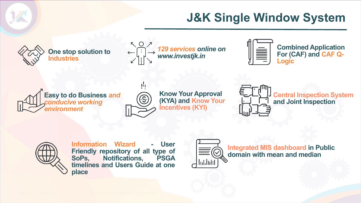# **J&K Single Window System**



**One stop solution to Industries**



曹



**Combined Application For (CAF) and CAF Q-Logic**



**Know Your Approval (KYA) and Know Your Incentives (KYI)**



**Central Inspection System and Joint Inspection**



**Information Wizard - User Friendly repository of all type of SoPs, Notifications, PSGA timelines and Users Guide at one place**



**Integrated MIS dashboard in Public domain with mean and median**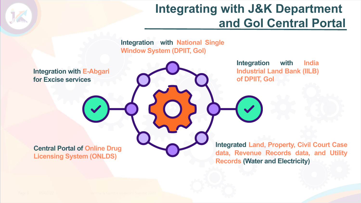### **Integrating with J&K Department and GoI Central Portal**

**Integration with National Single Window System (DPIIT, GoI)** 

**Integration with E-Abgari for Excise services** 

**Integration with India Industrial Land Bank (IILB) of DPIIT, GoI**

**Central Portal of Online Drug Licensing System (ONLDS)** 

**Integrated Land, Property, Civil Court Case data, Revenue Records data, and Utility Records (Water and Electricity)**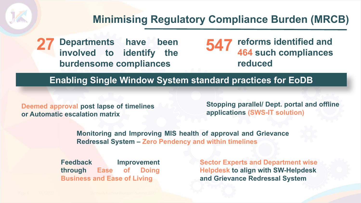**Departments have been 27 547 reforms identified and involved to identify the burdensome compliances** 

**464 such compliances reduced** 

**Enabling Single Window System standard practices for EoDB**

**Deemed approval post lapse of timelines or Automatic escalation matrix** 

**Stopping parallel/ Dept. portal and offline applications (SWS-IT solution)**

**Monitoring and Improving MIS health of approval and Grievance Redressal System – Zero Pendency and within timelines**

**Feedback Improvement through Ease of Doing Business and Ease of Living**

**Sector Experts and Department wise Helpdesk to align with SW-Helpdesk and Grievance Redressal System**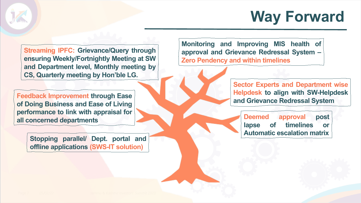# **Way Forward**

**Streaming IPFC: Grievance/Query through ensuring Weekly/Fortnightly Meeting at SW and Department level, Monthly meeting by CS, Quarterly meeting by Hon'ble LG.**

**Feedback Improvement through Ease of Doing Business and Ease of Living performance to link with appraisal for all concerned departments**

> **Stopping parallel/ Dept. portal and offline applications (SWS-IT solution)**

**Monitoring and Improving MIS health of approval and Grievance Redressal System – Zero Pendency and within timelines**

> **Sector Experts and Department wise Helpdesk to align with SW-Helpdesk and Grievance Redressal System**

**Deemed approval post lapse of timelines or Automatic escalation matrix**